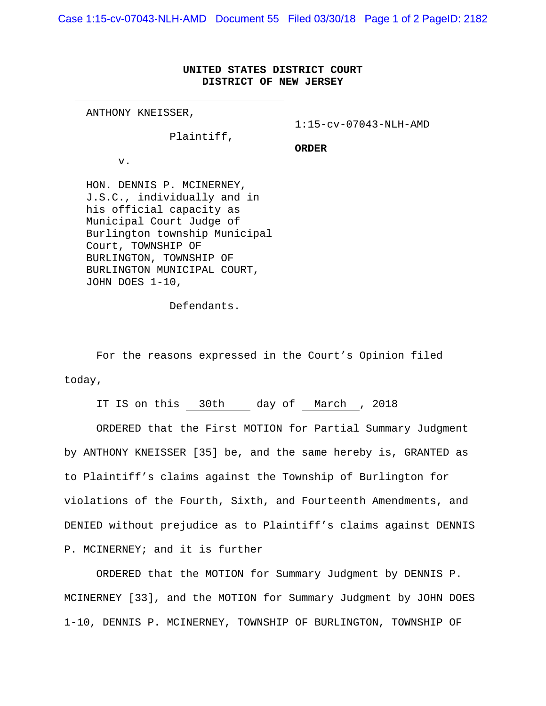Case 1:15-cv-07043-NLH-AMD Document 55 Filed 03/30/18 Page 1 of 2 PageID: 2182

## **UNITED STATES DISTRICT COURT DISTRICT OF NEW JERSEY**

ANTHONY KNEISSER,

1:15-cv-07043-NLH-AMD

Plaintiff,

**ORDER**

v.

HON. DENNIS P. MCINERNEY, J.S.C., individually and in his official capacity as Municipal Court Judge of Burlington township Municipal Court, TOWNSHIP OF BURLINGTON, TOWNSHIP OF BURLINGTON MUNICIPAL COURT, JOHN DOES 1-10,

Defendants.

 For the reasons expressed in the Court's Opinion filed today,

IT IS on this 30th day of March , 2018

 ORDERED that the First MOTION for Partial Summary Judgment by ANTHONY KNEISSER [35] be, and the same hereby is, GRANTED as to Plaintiff's claims against the Township of Burlington for violations of the Fourth, Sixth, and Fourteenth Amendments, and DENIED without prejudice as to Plaintiff's claims against DENNIS P. MCINERNEY; and it is further

 ORDERED that the MOTION for Summary Judgment by DENNIS P. MCINERNEY [33], and the MOTION for Summary Judgment by JOHN DOES 1-10, DENNIS P. MCINERNEY, TOWNSHIP OF BURLINGTON, TOWNSHIP OF